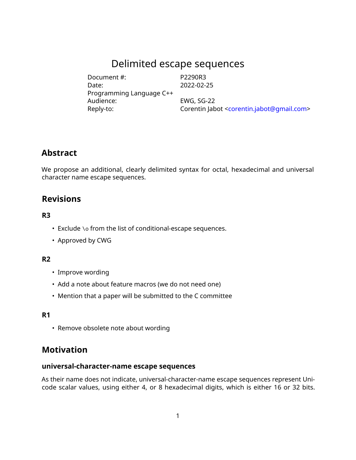# Delimited escape sequences

| Document #:              | P2290R3                                                              |
|--------------------------|----------------------------------------------------------------------|
| Date:                    | 2022-02-25                                                           |
| Programming Language C++ |                                                                      |
| Audience:                | <b>EWG, SG-22</b>                                                    |
| Reply-to:                | Corentin Jabot <corentin.jabot@gmail.com></corentin.jabot@gmail.com> |

# **Abstract**

We propose an additional, clearly delimited syntax for octal, hexadecimal and universal character name escape sequences.

# **Revisions**

#### **R3**

- Exclude \o from the list of conditional-escape sequences.
- Approved by CWG

#### **R2**

- Improve wording
- Add a note about feature macros (we do not need one)
- Mention that a paper will be submitted to the C committee

#### **R1**

• Remove obsolete note about wording

# **Motivation**

#### **universal-character-name escape sequences**

As their name does not indicate, universal-character-name escape sequences represent Unicode scalar values, using either 4, or 8 hexadecimal digits, which is either 16 or 32 bits.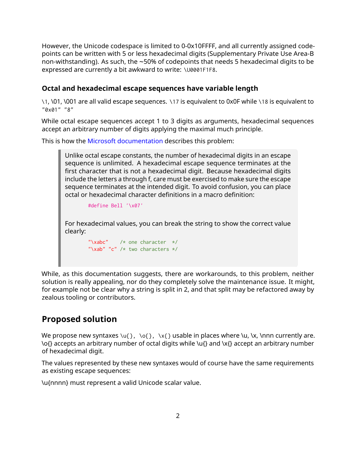However, the Unicode codespace is limited to 0-0x10FFFF, and all currently assigned codepoints can be written with 5 or less hexadecimal digits (Supplementary Private Use Area-B non-withstanding). As such, the ~50% of codepoints that needs 5 hexadecimal digits to be expressed are currently a bit awkward to write: \U0001F1F8.

#### **Octal and hexadecimal escape sequences have variable length**

\1, \01, \001 are all valid escape sequences. \17 is equivalent to 0x0F while \18 is equivalent to "0x01" "8"

While octal escape sequences accept 1 to 3 digits as arguments, hexadecimal sequences accept an arbitrary number of digits applying the maximal much principle.

This is how the [Microsoft documentation](https://docs.microsoft.com/en-us/cpp/c-language/octal-and-hexadecimal-character-specifications?view=msvc-160) describes this problem:

Unlike octal escape constants, the number of hexadecimal digits in an escape sequence is unlimited. A hexadecimal escape sequence terminates at the first character that is not a hexadecimal digit. Because hexadecimal digits include the letters a through f, care must be exercised to make sure the escape sequence terminates at the intended digit. To avoid confusion, you can place octal or hexadecimal character definitions in a macro definition:

```
#define Bell '\x07'
```
For hexadecimal values, you can break the string to show the correct value clearly:

```
"\xrightarrows /* one character */
"\xab" "c" /* two characters */
```
While, as this documentation suggests, there are workarounds, to this problem, neither solution is really appealing, nor do they completely solve the maintenance issue. It might, for example not be clear why a string is split in 2, and that split may be refactored away by zealous tooling or contributors.

# **Proposed solution**

We propose new syntaxes  $\{u\}$ ,  $\{o\}$ ,  $\{x\}$  usable in places where  $\{u\}$ ,  $\{x\}$ ,  $\{x\}$  are. \o{} accepts an arbitrary number of octal digits while \u{} and \x{} accept an arbitrary number of hexadecimal digit.

The values represented by these new syntaxes would of course have the same requirements as existing escape sequences:

\u{nnnn} must represent a valid Unicode scalar value.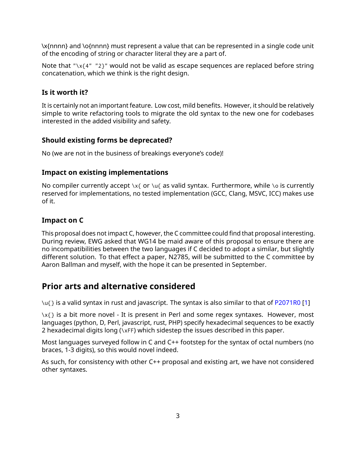\x{nnnn} and \o{nnnn} must represent a value that can be represented in a single code unit of the encoding of string or character literal they are a part of.

Note that "\x{4" "2}" would not be valid as escape sequences are replaced before string concatenation, which we think is the right design.

### **Is it worth it?**

It is certainly not an important feature. Low cost, mild benefits. However, it should be relatively simple to write refactoring tools to migrate the old syntax to the new one for codebases interested in the added visibility and safety.

#### **Should existing forms be deprecated?**

No (we are not in the business of breakings everyone's code)!

#### **Impact on existing implementations**

No compiler currently accept  $x_{f}$  or  $\mu$  as valid syntax. Furthermore, while  $\infty$  is currently reserved for implementations, no tested implementation (GCC, Clang, MSVC, ICC) makes use of it.

#### **Impact on C**

This proposal does not impact C, however, the C committee could find that proposal interesting. During review, EWG asked that WG14 be maid aware of this proposal to ensure there are no incompatibilities between the two languages if C decided to adopt a similar, but slightly different solution. To that effect a paper, N2785, will be submitted to the C committee by Aaron Ballman and myself, with the hope it can be presented in September.

# **Prior arts and alternative considered**

 $\Upsilon$  is a valid syntax in rust and javascript. The syntax is also similar to that of [P2071R0](https://wg21.link/P2071R0) [\[1\]](#page-4-0)

 $\{x\}$  is a bit more novel - It is present in Perl and some regex syntaxes. However, most languages (python, D, Perl, javascript, rust, PHP) specify hexadecimal sequences to be exactly 2 hexadecimal digits long (\xFF) which sidestep the issues described in this paper.

Most languages surveyed follow in C and C++ footstep for the syntax of octal numbers (no braces, 1-3 digits), so this would novel indeed.

As such, for consistency with other C++ proposal and existing art, we have not considered other syntaxes.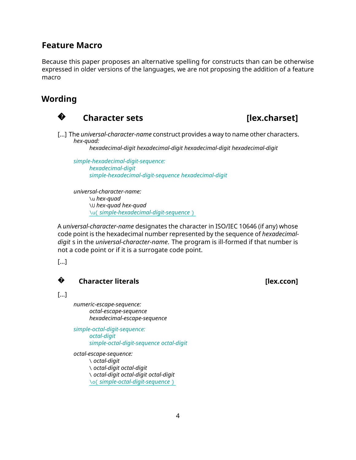## **Feature Macro**

Because this paper proposes an alternative spelling for constructs than can be otherwise expressed in older versions of the languages, we are not proposing the addition of a feature macro

# **Wording**



# **Character sets Exercise EXEC EXECUTE:** [lex.charset]

[...] The *universal-character-name* construct provides a way to name other characters. *hex-quad:*

*hexadecimal-digit hexadecimal-digit hexadecimal-digit hexadecimal-digit*

*simple-hexadecimal-digit-sequence: hexadecimal-digit simple-hexadecimal-digit-sequence hexadecimal-digit*

*universal-character-name:* \u *hex-quad* \U *hex-quad hex-quad* \u{ *simple-hexadecimal-digit-sequence* }

A *universal-character-name* designates the character in ISO/IEC 10646 (if any) whose code point is the hexadecimal number represented by the sequence of *hexadecimaldigit* s in the *universal-character-name*. The program is ill-formed if that number is not a code point or if it is a surrogate code point.

[...]

#### **?Character literals Character literals Character literals**

[...]

*numeric-escape-sequence: octal-escape-sequence hexadecimal-escape-sequence*

*simple-octal-digit-sequence: octal-digit simple-octal-digit-sequence octal-digit*

*octal-escape-sequence:* \ *octal-digit* \ *octal-digit octal-digit* \ *octal-digit octal-digit octal-digit* \o{ *simple-octal-digit-sequence* }